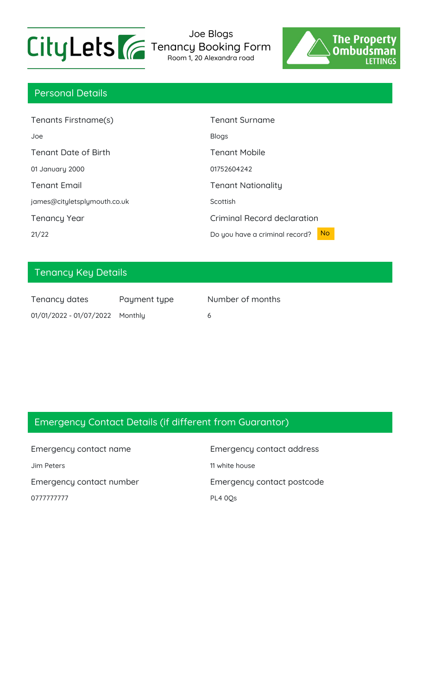

Joe Blogs Tenancy Booking Form Room 1, 20 Alexandra road



## Personal Details

| Tenants Firstname(s)         | <b>Tenant Surname</b>                       |
|------------------------------|---------------------------------------------|
| Joe                          | <b>Blogs</b>                                |
| <b>Tenant Date of Birth</b>  | <b>Tenant Mobile</b>                        |
| 01 January 2000              | 01752604242                                 |
| <b>Tenant Email</b>          | <b>Tenant Nationality</b>                   |
| james@cityletsplymouth.co.uk | Scottish                                    |
| <b>Tenancy Year</b>          | <b>Criminal Record declaration</b>          |
| 21/22                        | <b>No</b><br>Do you have a criminal record? |

## Tenancy Key Details

| Tenancy dates                   | Payment type |  |
|---------------------------------|--------------|--|
| 01/01/2022 - 01/07/2022 Monthly |              |  |

Int type **Number of months** 

## Emergency Contact Details (if different from Guarantor)

Emergency contact name Emergency contact address Jim Peters 2008 11 white house Emergency contact number Emergency contact postcode 0777777777 PL4 0Qs